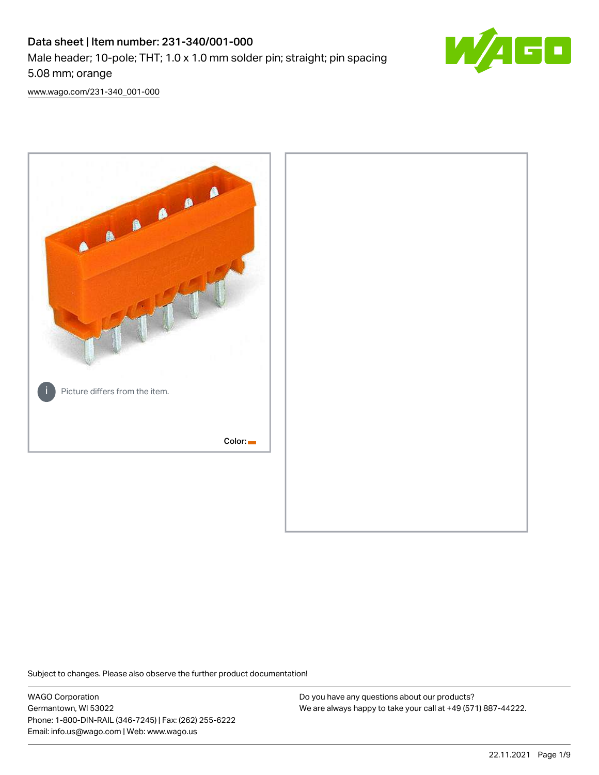# Data sheet | Item number: 231-340/001-000 Male header; 10-pole; THT; 1.0 x 1.0 mm solder pin; straight; pin spacing 5.08 mm; orange



[www.wago.com/231-340\\_001-000](http://www.wago.com/231-340_001-000)



Subject to changes. Please also observe the further product documentation!

WAGO Corporation Germantown, WI 53022 Phone: 1-800-DIN-RAIL (346-7245) | Fax: (262) 255-6222 Email: info.us@wago.com | Web: www.wago.us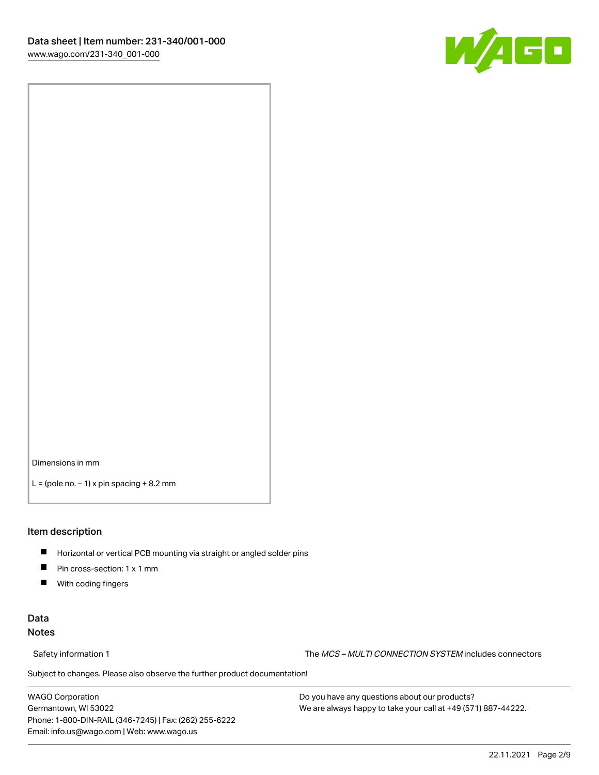

Dimensions in mm

 $L =$  (pole no.  $-1$ ) x pin spacing  $+8.2$  mm

### Item description

- **Horizontal or vertical PCB mounting via straight or angled solder pins**
- **Pin cross-section: 1 x 1 mm**
- $\blacksquare$ With coding fingers

## Data Notes

Safety information 1 The MCS – MULTI CONNECTION SYSTEM includes connectors

Subject to changes. Please also observe the further product documentation!  $\nu$ 

WAGO Corporation Germantown, WI 53022 Phone: 1-800-DIN-RAIL (346-7245) | Fax: (262) 255-6222 Email: info.us@wago.com | Web: www.wago.us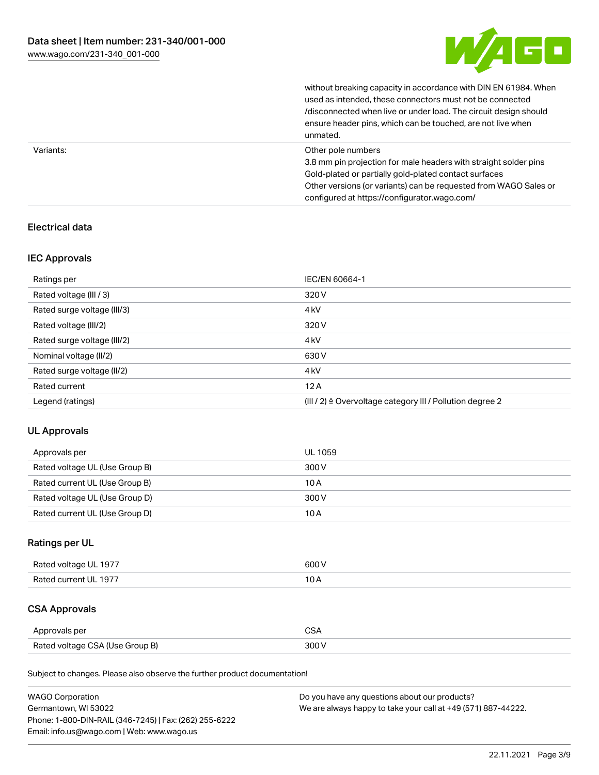

without breaking capacity in accordance with DIN EN 61984. When

|           | used as intended, these connectors must not be connected<br>/disconnected when live or under load. The circuit design should<br>ensure header pins, which can be touched, are not live when<br>unmated.                                                             |
|-----------|---------------------------------------------------------------------------------------------------------------------------------------------------------------------------------------------------------------------------------------------------------------------|
| Variants: | Other pole numbers<br>3.8 mm pin projection for male headers with straight solder pins<br>Gold-plated or partially gold-plated contact surfaces<br>Other versions (or variants) can be requested from WAGO Sales or<br>configured at https://configurator.wago.com/ |

# Electrical data

## IEC Approvals

| Ratings per                 | IEC/EN 60664-1                                                        |
|-----------------------------|-----------------------------------------------------------------------|
| Rated voltage (III / 3)     | 320 V                                                                 |
| Rated surge voltage (III/3) | 4 <sub>k</sub> V                                                      |
| Rated voltage (III/2)       | 320 V                                                                 |
| Rated surge voltage (III/2) | 4 <sub>k</sub> V                                                      |
| Nominal voltage (II/2)      | 630 V                                                                 |
| Rated surge voltage (II/2)  | 4 <sub>k</sub> V                                                      |
| Rated current               | 12A                                                                   |
| Legend (ratings)            | $(III / 2)$ $\triangle$ Overvoltage category III / Pollution degree 2 |

## UL Approvals

| Approvals per                  | UL 1059 |
|--------------------------------|---------|
| Rated voltage UL (Use Group B) | 300 V   |
| Rated current UL (Use Group B) | 10 A    |
| Rated voltage UL (Use Group D) | 300 V   |
| Rated current UL (Use Group D) | 10 A    |

# Ratings per UL

| Rated voltage UL 1977 | 600 V |
|-----------------------|-------|
| Rated current UL 1977 |       |

# CSA Approvals

| Approvals per                   | $\sim$ |
|---------------------------------|--------|
| Rated voltage CSA (Use Group B) | 300 V  |

Subject to changes. Please also observe the further product documentation!

| <b>WAGO Corporation</b>                                | Do you have any questions about our products?                 |
|--------------------------------------------------------|---------------------------------------------------------------|
| Germantown, WI 53022                                   | We are always happy to take your call at +49 (571) 887-44222. |
| Phone: 1-800-DIN-RAIL (346-7245)   Fax: (262) 255-6222 |                                                               |
| Email: info.us@wago.com   Web: www.wago.us             |                                                               |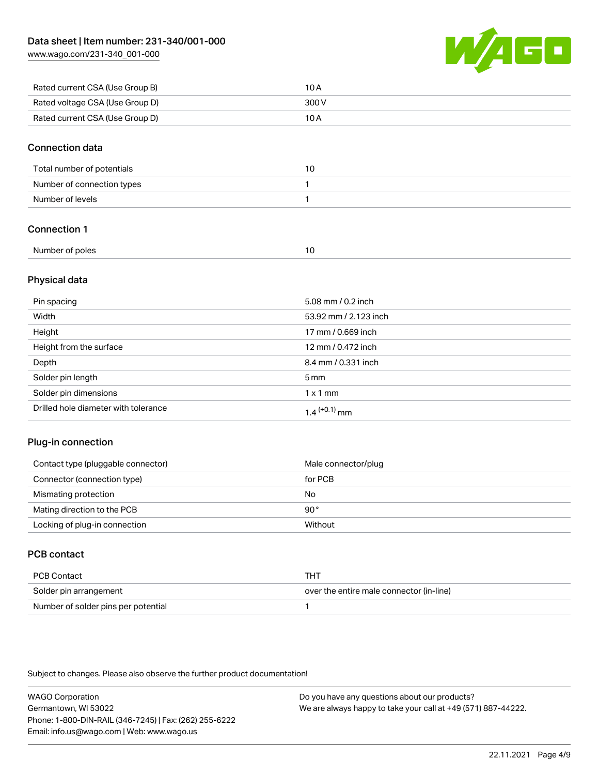[www.wago.com/231-340\\_001-000](http://www.wago.com/231-340_001-000)



| Rated current CSA (Use Group B) | 10 A  |
|---------------------------------|-------|
| Rated voltage CSA (Use Group D) | 300 V |
| Rated current CSA (Use Group D) | 10 A  |

## Connection data

| Total number of potentials | 10 |
|----------------------------|----|
| Number of connection types |    |
| Number of levels           |    |

## Connection 1

| Number of poles |  |
|-----------------|--|
|                 |  |

## Physical data

| Pin spacing                          | 5.08 mm / 0.2 inch    |
|--------------------------------------|-----------------------|
| Width                                | 53.92 mm / 2.123 inch |
| Height                               | 17 mm / 0.669 inch    |
| Height from the surface              | 12 mm / 0.472 inch    |
| Depth                                | 8.4 mm / 0.331 inch   |
| Solder pin length                    | $5 \,\mathrm{mm}$     |
| Solder pin dimensions                | $1 \times 1$ mm       |
| Drilled hole diameter with tolerance | $1.4$ $(+0.1)$ mm     |

## Plug-in connection

| Contact type (pluggable connector) | Male connector/plug |
|------------------------------------|---------------------|
| Connector (connection type)        | for PCB             |
| Mismating protection               | No                  |
| Mating direction to the PCB        | 90°                 |
| Locking of plug-in connection      | Without             |

# PCB contact

| PCB Contact                         | THT                                      |
|-------------------------------------|------------------------------------------|
| Solder pin arrangement              | over the entire male connector (in-line) |
| Number of solder pins per potential |                                          |

Subject to changes. Please also observe the further product documentation!

WAGO Corporation Germantown, WI 53022 Phone: 1-800-DIN-RAIL (346-7245) | Fax: (262) 255-6222 Email: info.us@wago.com | Web: www.wago.us Do you have any questions about our products?

We are always happy to take your call at +49 (571) 887-44222.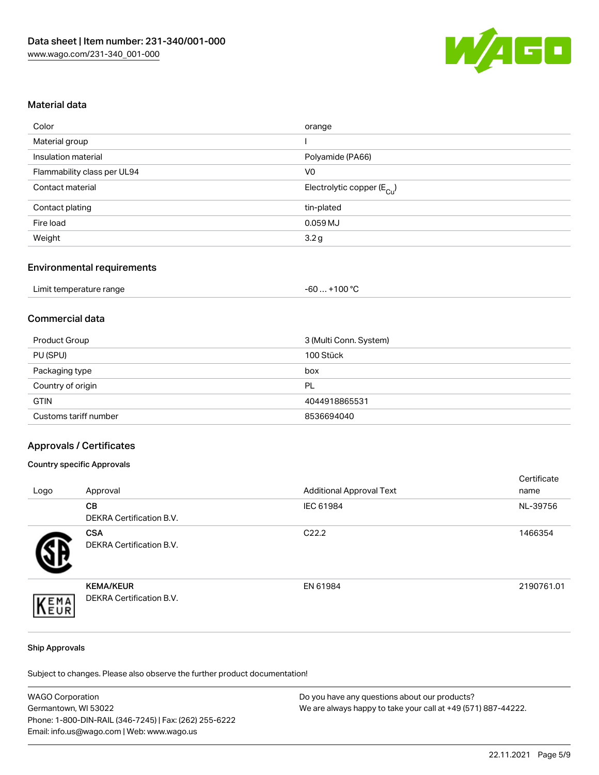

## Material data

| Color                       | orange                                |
|-----------------------------|---------------------------------------|
| Material group              |                                       |
| Insulation material         | Polyamide (PA66)                      |
| Flammability class per UL94 | V <sub>0</sub>                        |
| Contact material            | Electrolytic copper $(E_{\text{Cl}})$ |
| Contact plating             | tin-plated                            |
| Fire load                   | $0.059$ MJ                            |
| Weight                      | 3.2g                                  |
|                             |                                       |

## Environmental requirements

| Limit temperature range | $+100 °C$<br>-60 |
|-------------------------|------------------|
|-------------------------|------------------|

# Commercial data

| Product Group         | 3 (Multi Conn. System) |
|-----------------------|------------------------|
| PU (SPU)              | 100 Stück              |
| Packaging type        | box                    |
| Country of origin     | PL                     |
| <b>GTIN</b>           | 4044918865531          |
| Customs tariff number | 8536694040             |

#### Approvals / Certificates

#### Country specific Approvals

| Logo | Approval                                            | <b>Additional Approval Text</b> | Certificate<br>name |
|------|-----------------------------------------------------|---------------------------------|---------------------|
|      | <b>CB</b><br>DEKRA Certification B.V.               | IEC 61984                       | NL-39756            |
|      | <b>CSA</b><br>DEKRA Certification B.V.              | C <sub>22.2</sub>               | 1466354             |
| EMA  | <b>KEMA/KEUR</b><br><b>DEKRA Certification B.V.</b> | EN 61984                        | 2190761.01          |

#### Ship Approvals

Subject to changes. Please also observe the further product documentation!

| <b>WAGO Corporation</b>                                | Do you have any questions about our products?                 |
|--------------------------------------------------------|---------------------------------------------------------------|
| Germantown, WI 53022                                   | We are always happy to take your call at +49 (571) 887-44222. |
| Phone: 1-800-DIN-RAIL (346-7245)   Fax: (262) 255-6222 |                                                               |
| Email: info.us@wago.com   Web: www.wago.us             |                                                               |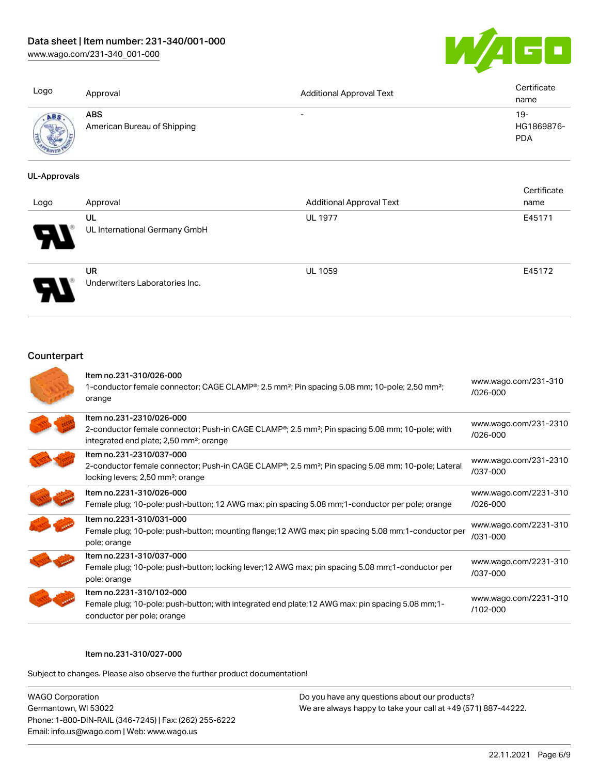[www.wago.com/231-340\\_001-000](http://www.wago.com/231-340_001-000)



| Logo     | Approval                                  | <b>Additional Approval Text</b> | Certificate<br>name               |
|----------|-------------------------------------------|---------------------------------|-----------------------------------|
| ABS<br>ς | <b>ABS</b><br>American Bureau of Shipping | $\overline{\phantom{0}}$        | $19-$<br>HG1869876-<br><b>PDA</b> |

#### UL-Approvals

| Logo | Approval                                    | <b>Additional Approval Text</b> | Certificate<br>name |
|------|---------------------------------------------|---------------------------------|---------------------|
| Ы    | UL<br>UL International Germany GmbH         | <b>UL 1977</b>                  | E45171              |
|      | <b>UR</b><br>Underwriters Laboratories Inc. | <b>UL 1059</b>                  | E45172              |

# **Counterpart**

| Item no.231-310/026-000<br>1-conductor female connector; CAGE CLAMP®; 2.5 mm <sup>2</sup> ; Pin spacing 5.08 mm; 10-pole; 2,50 mm <sup>2</sup> ;<br>orange                                                  | www.wago.com/231-310<br>/026-000      |
|-------------------------------------------------------------------------------------------------------------------------------------------------------------------------------------------------------------|---------------------------------------|
| Item no.231-2310/026-000<br>2-conductor female connector; Push-in CAGE CLAMP <sup>®</sup> ; 2.5 mm <sup>2</sup> ; Pin spacing 5.08 mm; 10-pole; with<br>integrated end plate; 2,50 mm <sup>2</sup> ; orange | www.wago.com/231-2310<br>/026-000     |
| Item no.231-2310/037-000<br>2-conductor female connector; Push-in CAGE CLAMP <sup>®</sup> ; 2.5 mm <sup>2</sup> ; Pin spacing 5.08 mm; 10-pole; Lateral<br>locking levers; 2,50 mm <sup>2</sup> ; orange    | www.wago.com/231-2310<br>/037-000     |
| Item no.2231-310/026-000<br>Female plug; 10-pole; push-button; 12 AWG max; pin spacing 5.08 mm; 1-conductor per pole; orange                                                                                | www.wago.com/2231-310<br>$/026 - 000$ |
| Item no.2231-310/031-000<br>Female plug; 10-pole; push-button; mounting flange; 12 AWG max; pin spacing 5.08 mm; 1-conductor per<br>pole; orange                                                            | www.wago.com/2231-310<br>$/031 - 000$ |
| Item no.2231-310/037-000<br>Female plug; 10-pole; push-button; locking lever; 12 AWG max; pin spacing 5.08 mm; 1-conductor per<br>pole; orange                                                              | www.wago.com/2231-310<br>/037-000     |
| Item no.2231-310/102-000<br>Female plug; 10-pole; push-button; with integrated end plate; 12 AWG max; pin spacing 5.08 mm; 1-<br>conductor per pole; orange                                                 | www.wago.com/2231-310<br>$/102 - 000$ |

#### Item no.231-310/027-000

Subject to changes. Please also observe the further product documentation!

WAGO Corporation Germantown, WI 53022 Phone: 1-800-DIN-RAIL (346-7245) | Fax: (262) 255-6222 Email: info.us@wago.com | Web: www.wago.us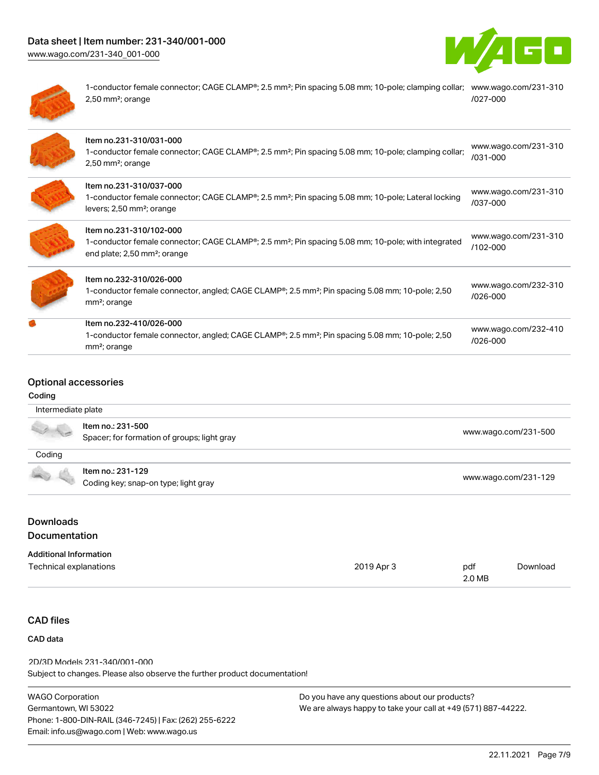# Data sheet | Item number: 231-340/001-000

[www.wago.com/231-340\\_001-000](http://www.wago.com/231-340_001-000)





1-conductor female connector; CAGE CLAMP®; 2.5 mm²; Pin spacing 5.08 mm; 10-pole; clamping collar; [www.wago.com/231-310](https://www.wago.com/231-310/027-000) 2,50 mm²; orange [/027-000](https://www.wago.com/231-310/027-000)

| Item no.231-310/031-000<br>1-conductor female connector; CAGE CLAMP <sup>®</sup> ; 2.5 mm <sup>2</sup> ; Pin spacing 5.08 mm; 10-pole; clamping collar;<br>$2,50$ mm <sup>2</sup> ; orange         | www.wago.com/231-310<br>/031-000 |
|----------------------------------------------------------------------------------------------------------------------------------------------------------------------------------------------------|----------------------------------|
| Item no.231-310/037-000<br>1-conductor female connector; CAGE CLAMP <sup>®</sup> ; 2.5 mm <sup>2</sup> ; Pin spacing 5.08 mm; 10-pole; Lateral locking<br>levers; 2,50 mm <sup>2</sup> ; orange    | www.wago.com/231-310<br>/037-000 |
| Item no.231-310/102-000<br>1-conductor female connector; CAGE CLAMP <sup>®</sup> ; 2.5 mm <sup>2</sup> ; Pin spacing 5.08 mm; 10-pole; with integrated<br>end plate; 2,50 mm <sup>2</sup> ; orange | www.wago.com/231-310<br>/102-000 |
| Item no.232-310/026-000<br>1-conductor female connector, angled; CAGE CLAMP <sup>®</sup> ; 2.5 mm <sup>2</sup> ; Pin spacing 5.08 mm; 10-pole; 2,50<br>mm <sup>2</sup> ; orange                    | www.wago.com/232-310<br>/026-000 |
| Item no.232-410/026-000<br>1-conductor female connector, angled; CAGE CLAMP <sup>®</sup> ; 2.5 mm <sup>2</sup> ; Pin spacing 5.08 mm; 10-pole; 2,50<br>mm <sup>2</sup> ; orange                    | www.wago.com/232-410<br>/026-000 |

# Optional accessories

#### Coding

|        | Item no.: 231-500                           | www.wago.com/231-500 |
|--------|---------------------------------------------|----------------------|
| Coding | Spacer; for formation of groups; light gray |                      |
|        | Item no.: 231-129                           |                      |
|        | Coding key; snap-on type; light gray        | www.wago.com/231-129 |

#### Downloads Documentation

| <b>Additional Information</b> |            |        |          |
|-------------------------------|------------|--------|----------|
| Technical explanations        | 2019 Apr 3 | pdf    | Download |
|                               |            | 2.0 MB |          |

# CAD files

# CAD data

Subject to changes. Please also observe the further product documentation! 2D/3D Models 231-340/001-000

| WAGO Corporation                                       | D |
|--------------------------------------------------------|---|
| Germantown, WI 53022                                   | N |
| Phone: 1-800-DIN-RAIL (346-7245)   Fax: (262) 255-6222 |   |
| Email: info.us@wago.com   Web: www.wago.us             |   |
|                                                        |   |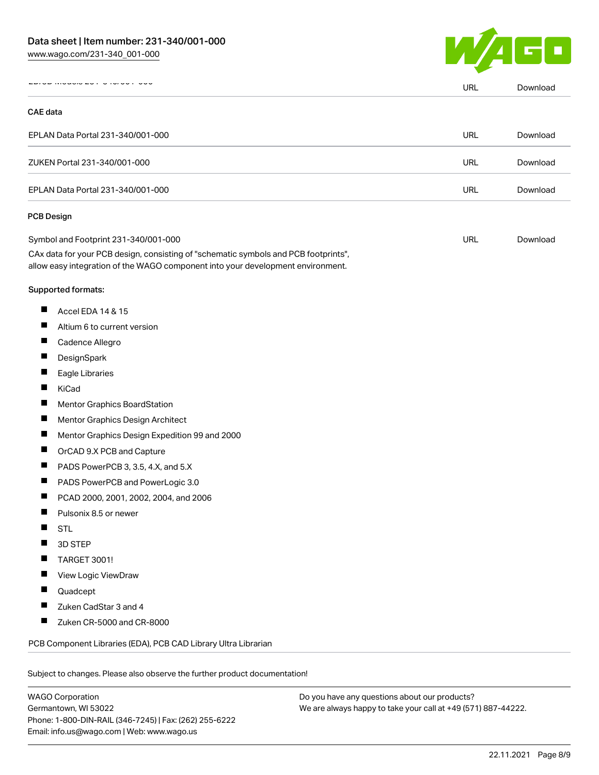

|                                   |                                                                                                                                                                                                                | <b>URL</b> | Download |
|-----------------------------------|----------------------------------------------------------------------------------------------------------------------------------------------------------------------------------------------------------------|------------|----------|
| <b>CAE</b> data                   |                                                                                                                                                                                                                |            |          |
|                                   | EPLAN Data Portal 231-340/001-000                                                                                                                                                                              | URL        | Download |
|                                   | ZUKEN Portal 231-340/001-000                                                                                                                                                                                   | URL        | Download |
| EPLAN Data Portal 231-340/001-000 |                                                                                                                                                                                                                | <b>URL</b> | Download |
|                                   | <b>PCB Design</b>                                                                                                                                                                                              |            |          |
|                                   | Symbol and Footprint 231-340/001-000<br>CAx data for your PCB design, consisting of "schematic symbols and PCB footprints",<br>allow easy integration of the WAGO component into your development environment. | URL        | Download |
|                                   | Supported formats:                                                                                                                                                                                             |            |          |
| ш                                 | Accel EDA 14 & 15                                                                                                                                                                                              |            |          |
| Ш                                 | Altium 6 to current version                                                                                                                                                                                    |            |          |
| Ш                                 | Cadence Allegro                                                                                                                                                                                                |            |          |
| П                                 | DesignSpark                                                                                                                                                                                                    |            |          |
|                                   | Eagle Libraries                                                                                                                                                                                                |            |          |
| ш                                 | KiCad                                                                                                                                                                                                          |            |          |
| П                                 | Mentor Graphics BoardStation                                                                                                                                                                                   |            |          |
| ш                                 | Mentor Graphics Design Architect                                                                                                                                                                               |            |          |
| ш                                 | Mentor Graphics Design Expedition 99 and 2000                                                                                                                                                                  |            |          |
| П                                 | OrCAD 9.X PCB and Capture                                                                                                                                                                                      |            |          |
|                                   | PADS PowerPCB 3, 3.5, 4.X, and 5.X                                                                                                                                                                             |            |          |
| ш                                 | PADS PowerPCB and PowerLogic 3.0                                                                                                                                                                               |            |          |
| ш                                 | PCAD 2000, 2001, 2002, 2004, and 2006                                                                                                                                                                          |            |          |
| ш                                 | Pulsonix 8.5 or newer                                                                                                                                                                                          |            |          |
|                                   | <b>STL</b>                                                                                                                                                                                                     |            |          |
|                                   | 3D STEP                                                                                                                                                                                                        |            |          |
|                                   | TARGET 3001!                                                                                                                                                                                                   |            |          |
|                                   | View Logic ViewDraw                                                                                                                                                                                            |            |          |
|                                   | Quadcept                                                                                                                                                                                                       |            |          |
|                                   | Zuken CadStar 3 and 4                                                                                                                                                                                          |            |          |
| ш                                 | Zuken CR-5000 and CR-8000                                                                                                                                                                                      |            |          |
|                                   | PCB Component Libraries (EDA), PCB CAD Library Ultra Librarian                                                                                                                                                 |            |          |

WAGO Corporation Germantown, WI 53022 Phone: 1-800-DIN-RAIL (346-7245) | Fax: (262) 255-6222 Email: info.us@wago.com | Web: www.wago.us